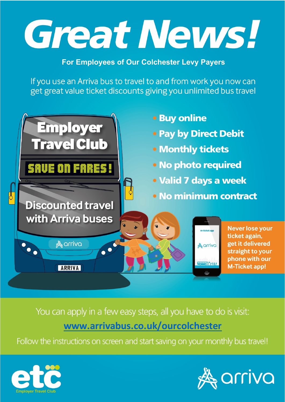# Great News!

### **For Employees of Our Colchester Levy Payers**

If you use an Arriva bus to travel to and from work you now can get great value ticket discounts giving you unlimited bus travel



You can apply in a few easy steps, all you have to do is visit: www.arrivabus.co.uk/ourcolchester

Follow the instructions on screen and start saving on your monthly bus travel!